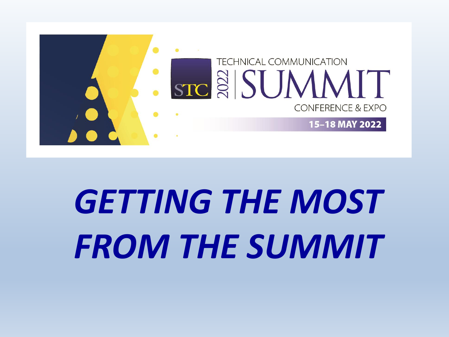

# *GETTING THE MOST FROM THE SUMMIT*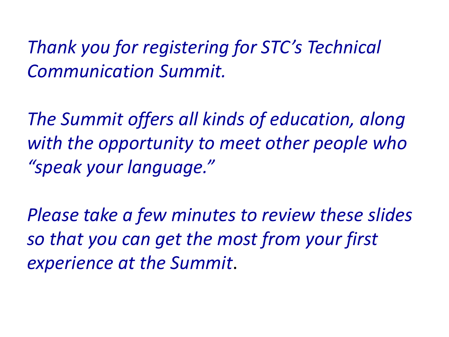*Thank you for registering for STC's Technical Communication Summit.* 

*The Summit offers all kinds of education, along with the opportunity to meet other people who "speak your language."* 

*Please take a few minutes to review these slides so that you can get the most from your first experience at the Summit*.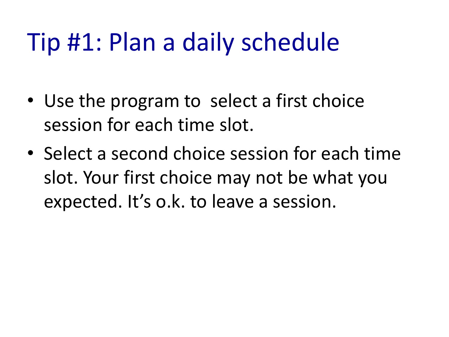# Tip #1: Plan a daily schedule

- Use the program to select a first choice session for each time slot.
- Select a second choice session for each time slot. Your first choice may not be what you expected. It's o.k. to leave a session.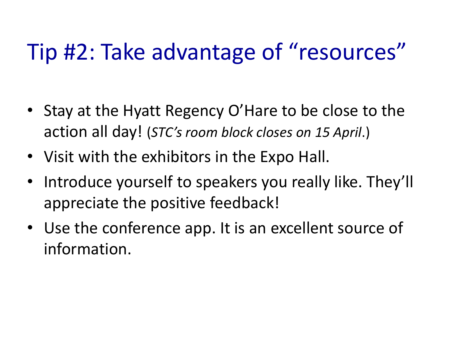### Tip #2: Take advantage of "resources"

- Stay at the Hyatt Regency O'Hare to be close to the action all day! (*STC's room block closes on 15 April*.)
- Visit with the exhibitors in the Expo Hall.
- Introduce yourself to speakers you really like. They'll appreciate the positive feedback!
- Use the conference app. It is an excellent source of information.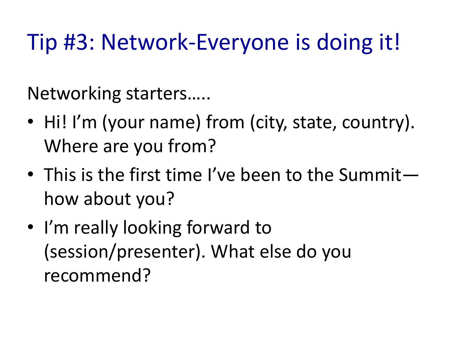### Tip #3: Network-Everyone is doing it!

Networking starters…..

- Hi! I'm (your name) from (city, state, country). Where are you from?
- This is the first time I've been to the Summit how about you?
- I'm really looking forward to (session/presenter). What else do you recommend?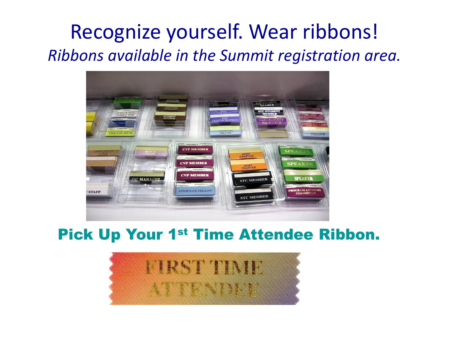### Recognize yourself. Wear ribbons! *Ribbons available in the Summit registration area.*



#### Pick Up Your 1st Time Attendee Ribbon.

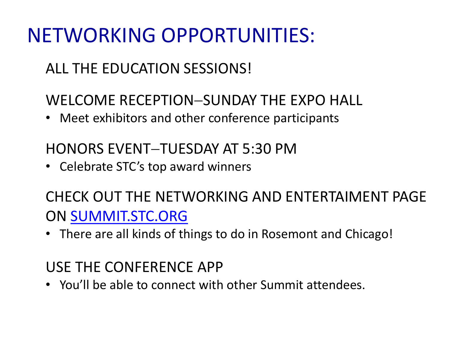### NETWORKING OPPORTUNITIES:

#### ALL THE EDUCATION SESSIONS!

#### WELCOME RECEPTION−SUNDAY THE EXPO HALL

• Meet exhibitors and other conference participants

#### HONORS EVENT−TUESDAY AT 5:30 PM

• Celebrate STC's top award winners

#### CHECK OUT THE NETWORKING AND ENTERTAIMENT PAGE ON [SUMMIT.STC.ORG](https://summit.stc.org/)

• There are all kinds of things to do in Rosemont and Chicago!

#### USE THE CONFERENCE APP

• You'll be able to connect with other Summit attendees.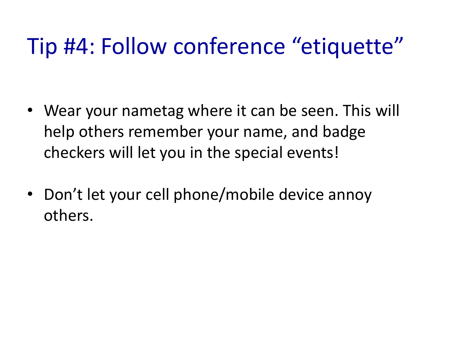### Tip #4: Follow conference "etiquette"

- Wear your nametag where it can be seen. This will help others remember your name, and badge checkers will let you in the special events!
- Don't let your cell phone/mobile device annoy others.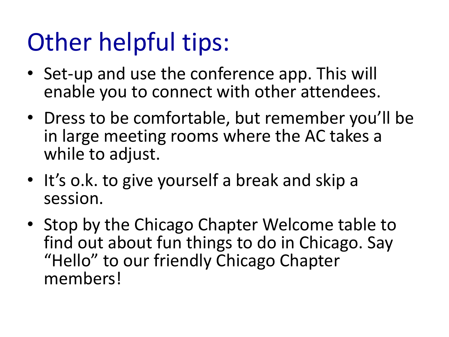# Other helpful tips:

- Set-up and use the conference app. This will enable you to connect with other attendees.
- Dress to be comfortable, but remember you'll be in large meeting rooms where the AC takes a while to adjust.
- It's o.k. to give yourself a break and skip a session.
- Stop by the Chicago Chapter Welcome table to find out about fun things to do in Chicago. Say "Hello" to our friendly Chicago Chapter members!